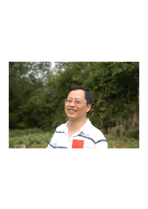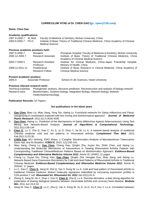# **CURRICULUM VITAE of Dr. CHEN GAO [\(gc\\_npwr@126.com\)](mailto:gc_npwr@126.com)**

### **Name: Chen Gao**

# **Academic qualifications:**

| 1997.9-2000.7       | M. Med. | Faculty of Medicine & Dentistry, Wuhan University, China                            |  |
|---------------------|---------|-------------------------------------------------------------------------------------|--|
| 2000.9-2003.7 Ph.D. |         | Institute of Basic Theory of Traditional Chinese Medicine, China Academy of Chinese |  |
|                     |         | Medical Science                                                                     |  |

### **Previous academic positions held:**

| Zhongnan Hospital, Faculty of Medicine & Dentistry, Wuhan University |
|----------------------------------------------------------------------|
| Institute of Basic Theory of Traditional Chinese Medicine, China     |
|                                                                      |
| Institute for Clinical Medicine, China-Japan Friendship Hospital,    |
|                                                                      |
| Institute of Basic Research in Clinical Medicine, China Academy of   |
|                                                                      |
|                                                                      |

# **Present academic position:**

| 2005.5- | Associate Professor | School of Life Sciences, Hubei University |
|---------|---------------------|-------------------------------------------|
|---------|---------------------|-------------------------------------------|

#### **Previous relevant research work:**

Technical expertise Phylogenetic analysis, Structure prediction, Reconstruction and analysis of biology network Research area Bioinformatics, Systems biology, Integrative Biology, Network biology, Network medicine/pharmacology

# **Publication Records:** 52 Papers

#### **Ten publications in the latest years**

- 1. **Gao Chen**, Biao Liu, Miao Jiang, Yong Tan, Aiping Lu. Functional networks for Salvia miltiorrhiza and Panax notoginseng in combination explored with text mining and bioinformatical approach *Journal of Medicinal Plants Research*. 2011,5(17):4030-4040
- 2. **Gao Chen**, Aiping Lu. Prediction of the Mechanisms of Salvia Miltiorrhiza Against Atherosclerosis Using Text Mining and Network-Based Analysis. *Journal of Algorithms & Computational Technology*. 2011,5(1):139-144
- 3. **Chen G**, Lu C, Zha Q, Xiao C, Xu S, Ju D, Zhou Y, Jia W, Lu A. A network-based analysis of traditional Chinese medicine cold and hot patterns in rheumatoid arthritis. *Complement Ther Med.* 2012 Feb;20(1-2):23-30.
- 4. **CHEN Gao**, WU Yanlong, XIAO Shijun, LI Canghai. Bioinformatics Analysis of Mycobacterium Tuberculosis Gene rspL and Its Mutation. *ICBECS*, 2010, 1(1):240-241.
- 5. Miao Jiang, Cheng Lu, **Gao Chen**, Cheng Xiao, Qinglin Zha, Xuyan Niu, Shilin Chen, and Aiping Lu. Understanding the Molecular Mechanism of Interventions in Treating Rheumatoid Arthritis Patients with Corresponding Traditional ChineseMedicine Patterns Based on Bioinformatics Approach. *Evidence-Based Complementary and Alternative Medicine Volume 2012*, Article ID 129452, 11 pages
- 6. Cheng Lu, Xuyan Niu, Cheng Xiao, **Gao Chen**, Qinglin Zha, Hongtao Guo, Miao Jiang, and Aiping Lu. Network-Based Gene Expression Biomarkers for Cold and Heat Patterns of Rheumatoid Arthritis in Traditional Chinese Medicine. *Evidence-Based Complementary and Alternative Medicine Volume 2012*, Article ID 203043, 17 pages
- 7. Lu C, Xiao C, **Chen G**, Jiang M, Zha Q, Yan X, Kong W, Lu A. Cold and heat pattern of rheumatoid arthritis in traditional Chinese medicine: distinct molecular signatures indentified by microarray expression profiles in CD4-positive T cell. *Rheumatol Int. Rheumatol Int. 2012* Jan;32(1):61-8.
- 8. Zheng G, Jiang M, He X, Zhao J, Guo H, **Chen G**, Zha Q, Lu A. Discrete derivative: a data slicing algorithm for exploration of sharing biological networks between rheumatoid arthritis and coronary heart disease. *BioData Min.* 2011 Jun 23;4:18.
- 9. Jiang M, Xiao C, **Chen G**, Lu C, Zha Q, Yan X, Kong W, Xu S, Ju D, Xu P, Zou Y, Lu A. Correlation between